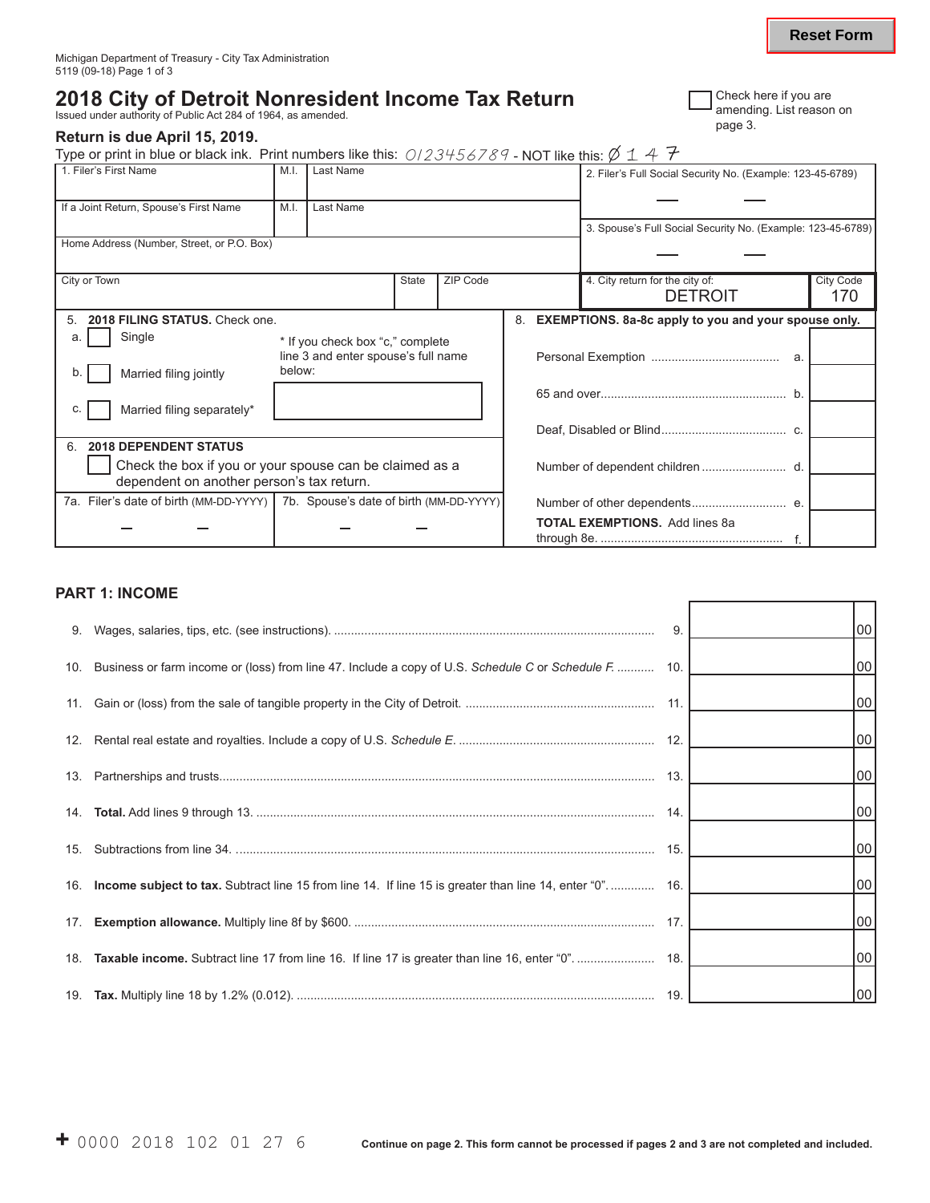# **2018 City of Detroit Nonresident Income Tax Return** Issued under authority of Public Act 284 of 1964, as amended.

### **Return is due April 15, 2019.**

Type or print in blue or black ink. Print numbers like this:  $0/23456789$  - NOT like this:  $\emptyset$  1 4  $7$ 

| 1. Filer's First Name                                                            | M.I.                             | Last Name                           |              |                                                                   |  | 2. Filer's Full Social Security No. (Example: 123-45-6789)  |                  |  |
|----------------------------------------------------------------------------------|----------------------------------|-------------------------------------|--------------|-------------------------------------------------------------------|--|-------------------------------------------------------------|------------------|--|
| If a Joint Return, Spouse's First Name                                           | M.I.                             | Last Name                           |              |                                                                   |  |                                                             |                  |  |
|                                                                                  |                                  |                                     |              |                                                                   |  | 3. Spouse's Full Social Security No. (Example: 123-45-6789) |                  |  |
| Home Address (Number, Street, or P.O. Box)                                       |                                  |                                     |              |                                                                   |  |                                                             |                  |  |
| City or Town                                                                     |                                  |                                     | <b>State</b> | ZIP Code                                                          |  | 4. City return for the city of:                             | <b>City Code</b> |  |
|                                                                                  |                                  |                                     |              |                                                                   |  | <b>DETROIT</b>                                              | 170              |  |
| 2018 FILING STATUS. Check one.<br>5.                                             |                                  |                                     |              | 8.<br><b>EXEMPTIONS. 8a-8c apply to you and your spouse only.</b> |  |                                                             |                  |  |
| Single                                                                           | * If you check box "c," complete |                                     |              |                                                                   |  |                                                             |                  |  |
|                                                                                  |                                  | line 3 and enter spouse's full name |              |                                                                   |  |                                                             |                  |  |
| Married filing jointly                                                           | below:                           |                                     |              |                                                                   |  |                                                             |                  |  |
|                                                                                  |                                  |                                     |              |                                                                   |  |                                                             |                  |  |
| Married filing separately*<br>C.                                                 |                                  |                                     |              |                                                                   |  |                                                             |                  |  |
|                                                                                  |                                  |                                     |              |                                                                   |  |                                                             |                  |  |
| <b>2018 DEPENDENT STATUS</b><br>6.                                               |                                  |                                     |              |                                                                   |  |                                                             |                  |  |
| Check the box if you or your spouse can be claimed as a                          |                                  |                                     |              |                                                                   |  |                                                             |                  |  |
| dependent on another person's tax return.                                        |                                  |                                     |              |                                                                   |  |                                                             |                  |  |
| 7a. Filer's date of birth (MM-DD-YYYY)   7b. Spouse's date of birth (MM-DD-YYYY) |                                  |                                     |              |                                                                   |  |                                                             |                  |  |
|                                                                                  |                                  |                                     |              |                                                                   |  | <b>TOTAL EXEMPTIONS.</b> Add lines 8a                       |                  |  |

## **PART 1: INCOME**

|                                                                                                             | 9. | 00 <sub>1</sub> |
|-------------------------------------------------------------------------------------------------------------|----|-----------------|
| 10. Business or farm income or (loss) from line 47. Include a copy of U.S. Schedule C or Schedule F.  10.   |    | 00              |
|                                                                                                             |    | 00 <sub>1</sub> |
|                                                                                                             |    | 00 <sub>1</sub> |
|                                                                                                             |    | 00              |
|                                                                                                             |    | 00 <sub>1</sub> |
|                                                                                                             |    | 00 <sub>1</sub> |
| 16. Income subject to tax. Subtract line 15 from line 14. If line 15 is greater than line 14, enter "0" 16. |    | $00\,$          |
|                                                                                                             |    | 00 <sub>1</sub> |
|                                                                                                             |    | $00\,$          |
|                                                                                                             |    | 00 <sub>1</sub> |

| Check here if you are                          |
|------------------------------------------------|
| $\mathsf{\mathsf{I}}$ amending. List reason on |
| page 3.                                        |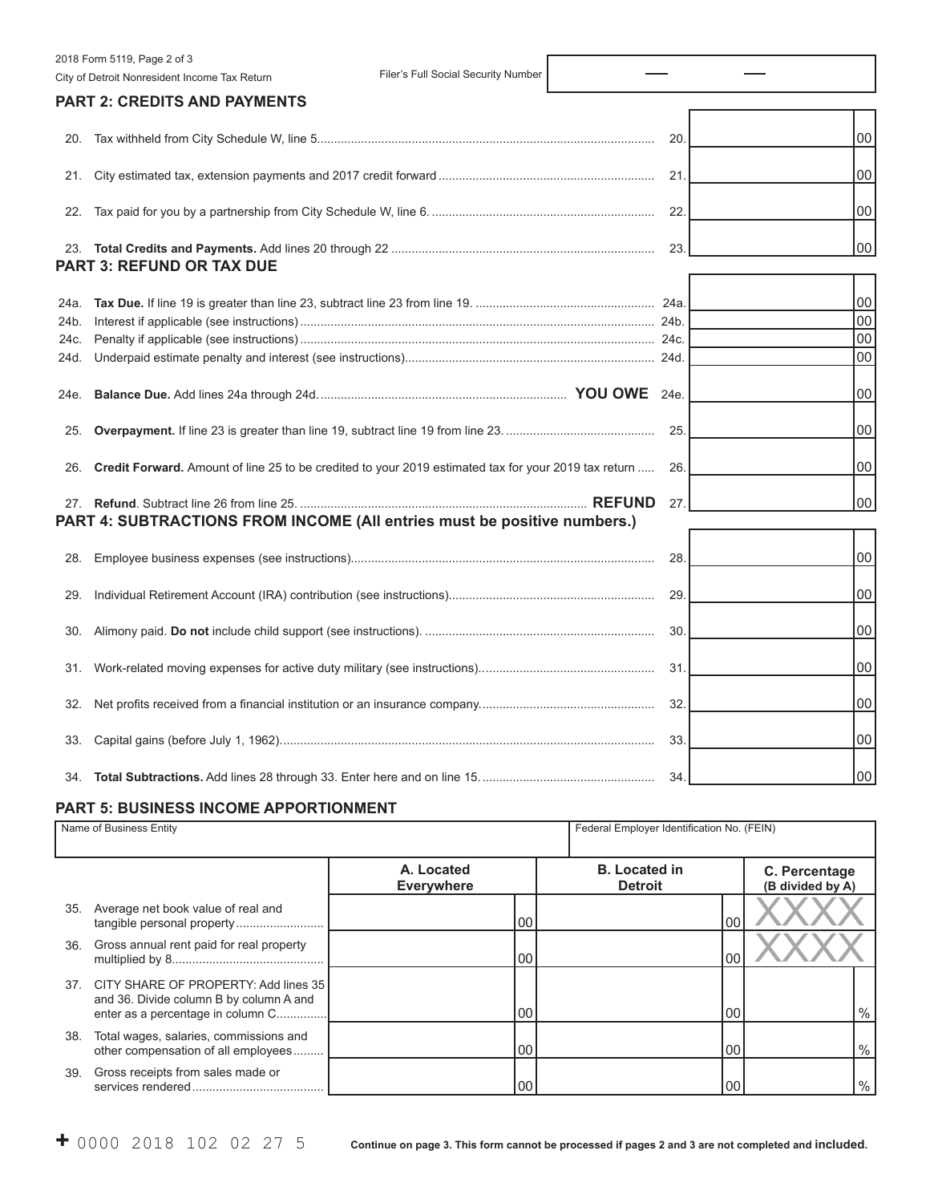|      | 2018 Form 5119, Page 2 of 3<br>Filer's Full Social Security Number                                   |     |    |
|------|------------------------------------------------------------------------------------------------------|-----|----|
|      | City of Detroit Nonresident Income Tax Return                                                        |     |    |
|      | <b>PART 2: CREDITS AND PAYMENTS</b>                                                                  |     |    |
| 20.  |                                                                                                      | 20. | 00 |
| 21.  |                                                                                                      | 21  | 00 |
| 22.  |                                                                                                      | 22  | 00 |
|      | <b>PART 3: REFUND OR TAX DUE</b>                                                                     | 23. | 00 |
| 24a. |                                                                                                      |     | 00 |
| 24b. |                                                                                                      |     | 00 |
| 24c. |                                                                                                      |     | 00 |
| 24d. |                                                                                                      |     | 00 |
| 24e. |                                                                                                      |     | 00 |
| 25.  |                                                                                                      | 25  | 00 |
| 26.  | Credit Forward. Amount of line 25 to be credited to your 2019 estimated tax for your 2019 tax return | 26  | 00 |
| 27.  | PART 4: SUBTRACTIONS FROM INCOME (All entries must be positive numbers.)                             | 27. | 00 |
|      |                                                                                                      |     |    |
| 28.  |                                                                                                      | 28  | 00 |
| 29.  |                                                                                                      | 29  | 00 |
| 30.  |                                                                                                      | 30  | 00 |
| 31.  |                                                                                                      | 31. | 00 |
| 32.  |                                                                                                      | 32. | 00 |
| 33.  |                                                                                                      | 33. | 00 |
|      |                                                                                                      | 34  | 00 |

# **PART 5: BUSINESS INCOME APPORTIONMENT**

|     | Name of Business Entity                                                                                                  |                                 | Federal Employer Identification No. (FEIN) |                                   |
|-----|--------------------------------------------------------------------------------------------------------------------------|---------------------------------|--------------------------------------------|-----------------------------------|
|     |                                                                                                                          | A. Located<br><b>Everywhere</b> | <b>B.</b> Located in<br><b>Detroit</b>     | C. Percentage<br>(B divided by A) |
| 35. | Average net book value of real and<br>tangible personal property                                                         | 00                              | 00                                         |                                   |
| 36. | Gross annual rent paid for real property                                                                                 | 00                              | 00                                         |                                   |
|     | 37. CITY SHARE OF PROPERTY: Add lines 35<br>and 36. Divide column B by column A and<br>enter as a percentage in column C | 00                              | 00                                         | $\%$                              |
| 38. | Total wages, salaries, commissions and<br>other compensation of all employees                                            | 00                              | 00                                         | $\%$                              |
| 39. | Gross receipts from sales made or                                                                                        | 00                              | 00                                         | $\%$                              |